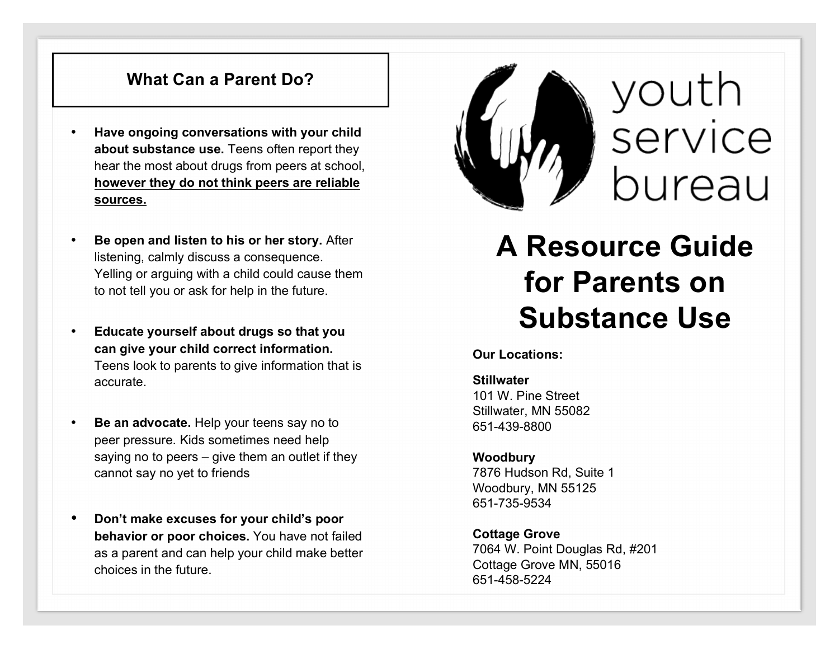## **What Can a Parent Do?**

- **Have ongoing conversations with your child about substance use.** Teens often report they hear the most about drugs from peers at school, **however they do not think peers are reliable sources.**
- **Be open and listen to his or her story.** After listening, calmly discuss a consequence. Yelling or arguing with a child could cause them to not tell you or ask for help in the future.
- **Educate yourself about drugs so that you can give your child correct information.** Teens look to parents to give information that is accurate.
- **Be an advocate.** Help your teens say no to peer pressure. Kids sometimes need help saying no to peers – give them an outlet if they cannot say no yet to friends
- **Don't make excuses for your child's poor behavior or poor choices.** You have not failed as a parent and can help your child make better choices in the future.



**A Resource Guide for Parents on Substance Use**

**Our Locations:**

**Stillwater**  101 W. Pine Street Stillwater, MN 55082 651-439-8800

#### **Woodbury** 7876 Hudson Rd, Suite 1 Woodbury, MN 55125 651-735-9534

**Cottage Grove** 7064 W. Point Douglas Rd, #201 Cottage Grove MN, 55016 651-458-5224